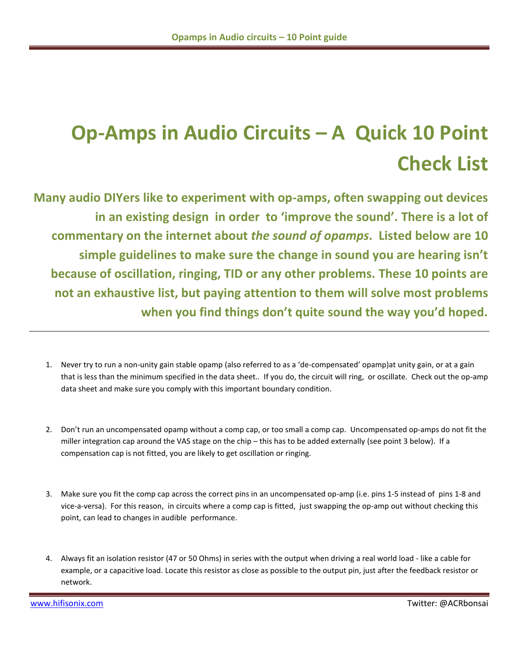## **Op-Amps in Audio Circuits – A Quick 10 Point Check List**

**Many audio DIYers like to experiment with op-amps, often swapping out devices in an existing design in order to 'improve the sound'. There is a lot of commentary on the internet about** *the sound of opamps***. Listed below are 10 simple guidelines to make sure the change in sound you are hearing isn't because of oscillation, ringing, TID or any other problems. These 10 points are not an exhaustive list, but paying attention to them will solve most problems when you find things don't quite sound the way you'd hoped.**

- 1. Never try to run a non-unity gain stable opamp (also referred to as a 'de-compensated' opamp)at unity gain, or at a gain that is less than the minimum specified in the data sheet.. If you do, the circuit will ring, or oscillate. Check out the op-amp data sheet and make sure you comply with this important boundary condition.
- 2. Don't run an uncompensated opamp without a comp cap, or too small a comp cap. Uncompensated op-amps do not fit the miller integration cap around the VAS stage on the chip – this has to be added externally (see point 3 below). If a compensation cap is not fitted, you are likely to get oscillation or ringing.
- 3. Make sure you fit the comp cap across the correct pins in an uncompensated op-amp (i.e. pins 1-5 instead of pins 1-8 and vice-a-versa). For this reason, in circuits where a comp cap is fitted, just swapping the op-amp out without checking this point, can lead to changes in audible performance.
- 4. Always fit an isolation resistor (47 or 50 Ohms) in series with the output when driving a real world load like a cable for example, or a capacitive load. Locate this resistor as close as possible to the output pin, just after the feedback resistor or network.